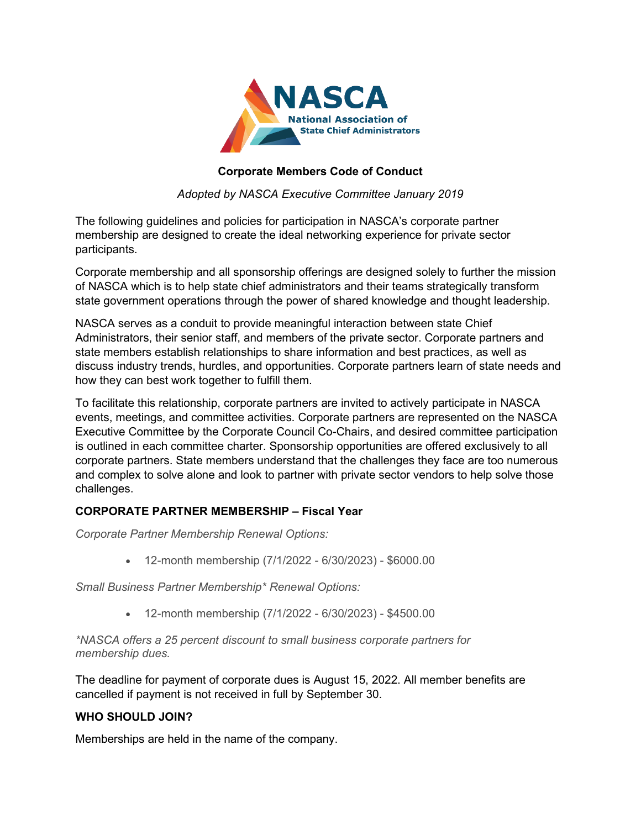

## **Corporate Members Code of Conduct**

*Adopted by NASCA Executive Committee January 2019*

The following guidelines and policies for participation in NASCA's corporate partner membership are designed to create the ideal networking experience for private sector participants.

Corporate membership and all sponsorship offerings are designed solely to further the mission of NASCA which is to help state chief administrators and their teams strategically transform state government operations through the power of shared knowledge and thought leadership.

NASCA serves as a conduit to provide meaningful interaction between state Chief Administrators, their senior staff, and members of the private sector. Corporate partners and state members establish relationships to share information and best practices, as well as discuss industry trends, hurdles, and opportunities. Corporate partners learn of state needs and how they can best work together to fulfill them.

To facilitate this relationship, corporate partners are invited to actively participate in NASCA events, meetings, and committee activities. Corporate partners are represented on the NASCA Executive Committee by the Corporate Council Co-Chairs, and desired committee participation is outlined in each committee charter. Sponsorship opportunities are offered exclusively to all corporate partners. State members understand that the challenges they face are too numerous and complex to solve alone and look to partner with private sector vendors to help solve those challenges.

## **CORPORATE PARTNER MEMBERSHIP – Fiscal Year**

*Corporate Partner Membership Renewal Options:*

• 12-month membership (7/1/2022 - 6/30/2023) - \$6000.00

*Small Business Partner Membership\* Renewal Options:*

• 12-month membership (7/1/2022 - 6/30/2023) - \$4500.00

*\*NASCA offers a 25 percent discount to small business corporate partners for membership dues.*

The deadline for payment of corporate dues is August 15, 2022. All member benefits are cancelled if payment is not received in full by September 30.

## **WHO SHOULD JOIN?**

Memberships are held in the name of the company.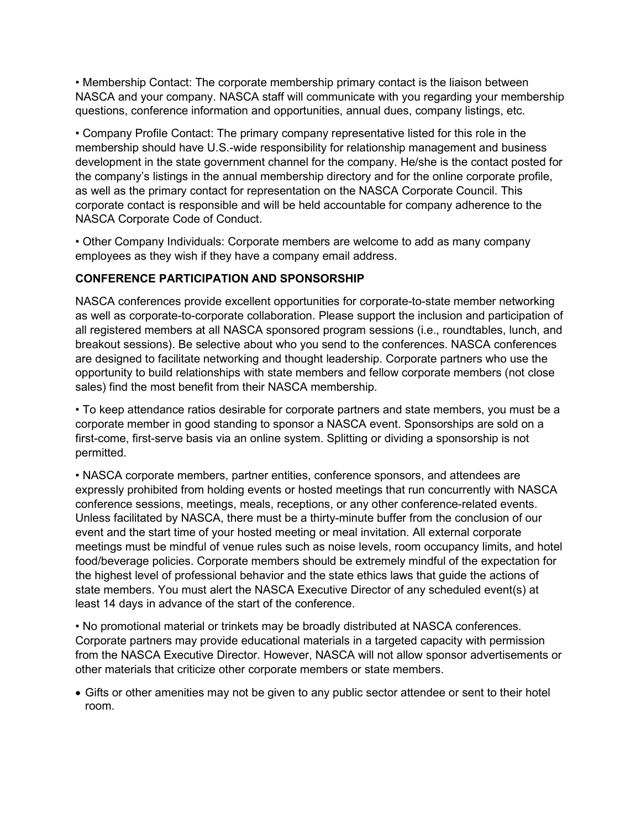• Membership Contact: The corporate membership primary contact is the liaison between NASCA and your company. NASCA staff will communicate with you regarding your membership questions, conference information and opportunities, annual dues, company listings, etc.

• Company Profile Contact: The primary company representative listed for this role in the membership should have U.S.-wide responsibility for relationship management and business development in the state government channel for the company. He/she is the contact posted for the company's listings in the annual membership directory and for the online corporate profile, as well as the primary contact for representation on the NASCA Corporate Council. This corporate contact is responsible and will be held accountable for company adherence to the NASCA Corporate Code of Conduct.

• Other Company Individuals: Corporate members are welcome to add as many company employees as they wish if they have a company email address.

## **CONFERENCE PARTICIPATION AND SPONSORSHIP**

NASCA conferences provide excellent opportunities for corporate-to-state member networking as well as corporate-to-corporate collaboration. Please support the inclusion and participation of all registered members at all NASCA sponsored program sessions (i.e., roundtables, lunch, and breakout sessions). Be selective about who you send to the conferences. NASCA conferences are designed to facilitate networking and thought leadership. Corporate partners who use the opportunity to build relationships with state members and fellow corporate members (not close sales) find the most benefit from their NASCA membership.

• To keep attendance ratios desirable for corporate partners and state members, you must be a corporate member in good standing to sponsor a NASCA event. Sponsorships are sold on a first-come, first-serve basis via an online system. Splitting or dividing a sponsorship is not permitted.

• NASCA corporate members, partner entities, conference sponsors, and attendees are expressly prohibited from holding events or hosted meetings that run concurrently with NASCA conference sessions, meetings, meals, receptions, or any other conference-related events. Unless facilitated by NASCA, there must be a thirty-minute buffer from the conclusion of our event and the start time of your hosted meeting or meal invitation. All external corporate meetings must be mindful of venue rules such as noise levels, room occupancy limits, and hotel food/beverage policies. Corporate members should be extremely mindful of the expectation for the highest level of professional behavior and the state ethics laws that guide the actions of state members. You must alert the NASCA Executive Director of any scheduled event(s) at least 14 days in advance of the start of the conference.

• No promotional material or trinkets may be broadly distributed at NASCA conferences. Corporate partners may provide educational materials in a targeted capacity with permission from the NASCA Executive Director. However, NASCA will not allow sponsor advertisements or other materials that criticize other corporate members or state members.

• Gifts or other amenities may not be given to any public sector attendee or sent to their hotel room.